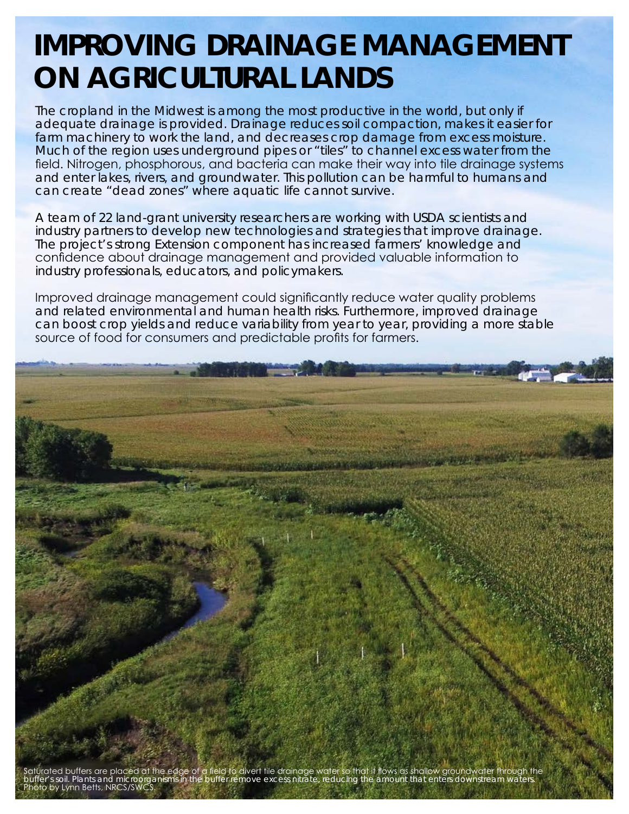## **IMPROVING DRAINAGE MANAGEMENT ON AGRICULTURAL LANDS**

The cropland in the Midwest is among the most productive in the world, but only if adequate drainage is provided. Drainage reduces soil compaction, makes it easier for farm machinery to work the land, and decreases crop damage from excess moisture. Much of the region uses underground pipes or "tiles" to channel excess water from the field. Nitrogen, phosphorous, and bacteria can make their way into tile drainage systems and enter lakes, rivers, and groundwater. This pollution can be harmful to humans and can create "dead zones" where aquatic life cannot survive.

A team of 22 land-grant university researchers are working with USDA scientists and industry partners to develop new technologies and strategies that improve drainage. The project's strong Extension component has increased farmers' knowledge and confidence about drainage management and provided valuable information to industry professionals, educators, and policymakers.

Improved drainage management could significantly reduce water quality problems and related environmental and human health risks. Furthermore, improved drainage can boost crop yields and reduce variability from year to year, providing a more stable source of food for consumers and predictable profits for farmers.



Saturated buffers are placed at the edge of a field to divert tile drainage water so that it flows as shallow groundwater through the buffer's soil. Plants and microorganisms in the buffer remove excess nitrate, reducing the amount that enters downstream waters. Photo by Lynn Betts, NRCS/SWCS.